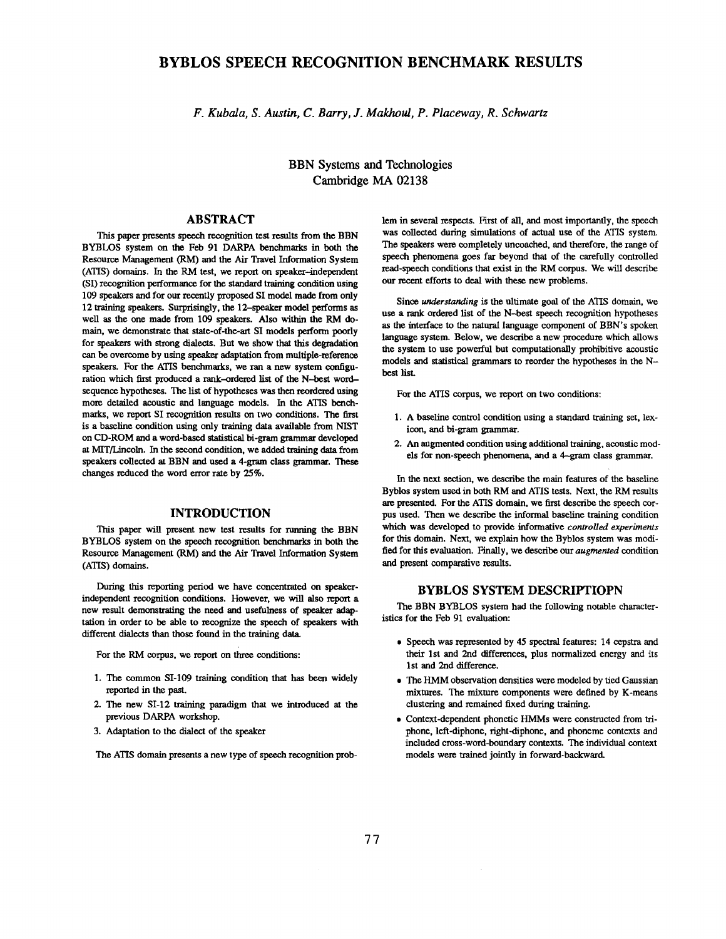# **BYBLOS SPEECH RECOGNITION BENCHMARK RESULTS**

*F. Kubala, S. Austin, C. Barry, J. Makhoul, P. Placeway, R. Schwartz* 

**BBN Systems and Technologies Cambridge MA 02138** 

# ABSTRACT

This paper presents speech recognition test results from the BBN BYBLOS system on the Feb 91 DARPA benchmarks in both the Resource Management (RM) and the Air Travel Information System (ATIS) domains. In the RM test, we report on speaker-independent (SI) recognition performance for the standard training condition using 109 speakers and for our recently proposed SI model made from only 12 training speakers. Surprisingly, the 12-speaker model performs as well as the one made from 109 speakers. Also within the RM domain, we demonstrate that state-of-the-art SI models perform poorly for speakers with strong dialects. But we show that this degradation can be overcome by using speaker adaptation from multiple-reference speakers. For the ATIS benchmarks, we ran a new system configuration which first produced a rank-ordered list of the N--best wordsequence hypotheses. The list of hypotheses was then reordered using more detailed acoustic and language models. In the ATIS benchmarks, we report SI recognition results on two conditions. The first is a baseline condition using only training data available from NIST on CD-ROM and a word-based statistical hi-gram grammar developed at MIT/Lincoln. In the second condition, we added training data from speakers collected at BBN and used a 4-gram class grammar. These changes reduced the word error rate by 25%.

### **INTRODUCTION**

This paper will present new test results for running the BBN BYBLOS system on the speech recognition benchmarks in both the Resource Management (RM) and the Air Travel Information System (ATIS) domains.

During this reporting period we have concentrated on speakerindependent recognition conditions. However, we will also report a new result demonstrating the need and usefulness of speaker adaptation in order to be able to recognize the speech of speakers with different dialects than those found in the training data.

For the RM corpus, we report on three conditions:

- 1. The common SI-109 training condition that has been widely reported in the past.
- 2. The new SI-12 training paradigm that we introduced at the previous DARPA workshop.
- 3. Adaptation to the dialect of the speaker

The ATIS domain presents a new type of speech recognition prob-

lem in several respects. First of all, and most importantly, the speech was collected during simulations of actual use of the ATIS system. The speakers were completely uncoached, and therefore, the range of speech phenomena goes far beyond that of the carefully controlled read-speech conditions that exist in the RM corpus. We will describe our recent efforts to deal with these new problems.

Since *understanding* is the ultimate goal of the ATIS domain, we use a rank ordered list of the N-best speech recognition hypotheses as the interface to the natural language component of BBN's spoken language system. Below, we describe a new procedure which allows the system to use powerful but eomputationally prohibitive acoustic models and statistical grammars to reorder the hypotheses in the Nbest lisL

For the ATIS corpus, we report on two conditions:

- 1. A baseline control condition using a standard training set, lexicon, and bi-gram grammar.
- 2. An augmented condition using additional training, acoustic models for non-speech phenomena, and a 4-gram class grammar.

In the next section, we describe the main features of the baseline Byblos system used in both RM and ATIS tests. Next, the RM results are presented. For the ATIS domain, we first describe the speech corpus used. Then we describe the informal baseline training condition which was developed to provide informative *controlled experiments*  for this domain. Next, we explain how the Byblos system was modified for this evaluation. Finally, we describe our *augmented* condition and present comparative results.

# BYBLOS SYSTEM **DESCRIPTIOPN**

The BBN BYBLOS system had the following notable characteristics for the Feb 91 evaluation:

- Speech was represented by 45 spectral features: 14 cepstra and their 1st and 2nd differences, plus normalized energy and its 1st and 2nd difference.
- The HMM observation densities were modeled by tied Gaussian mixtures. The mixture components were defined by K-means clustering and remained fixed during training.
- Context-dependent phonetic HMMs were constructed from triphone, left-diphone, right-diphone, and phoneme contexts and included cross-word-boundary contexts. The individual context models were trained jointly in forward-backward.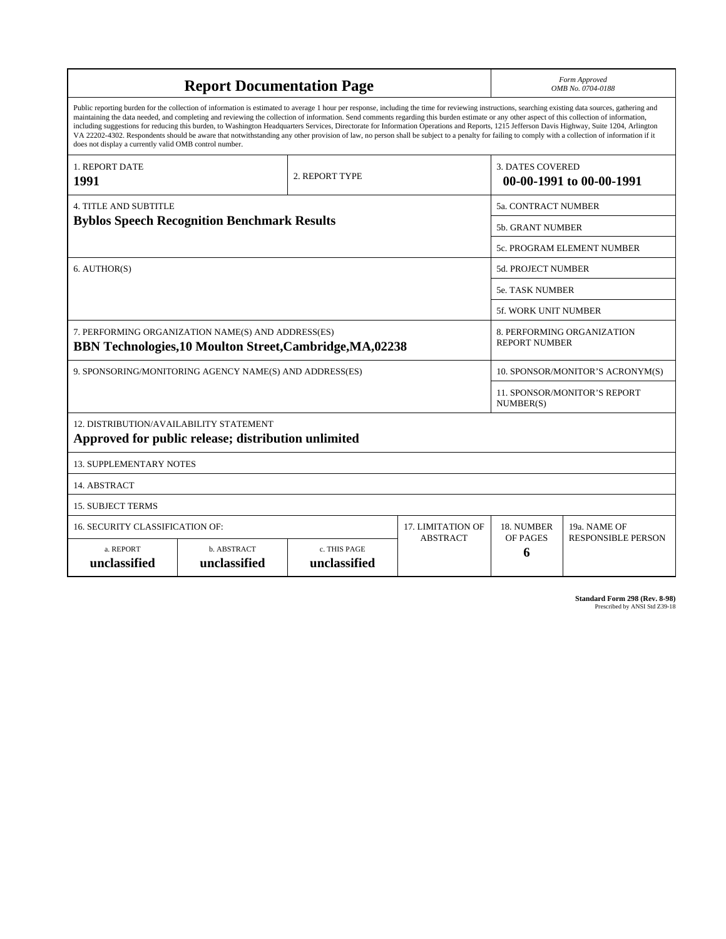| <b>Report Documentation Page</b>                                                                                                                                                                                                                                                                                                                                                                                                                                                                                                                                                                                                                                                                                                                                                                                                                                   |                             |                              |                          | Form Approved<br>OMB No. 0704-0188                  |                           |  |
|--------------------------------------------------------------------------------------------------------------------------------------------------------------------------------------------------------------------------------------------------------------------------------------------------------------------------------------------------------------------------------------------------------------------------------------------------------------------------------------------------------------------------------------------------------------------------------------------------------------------------------------------------------------------------------------------------------------------------------------------------------------------------------------------------------------------------------------------------------------------|-----------------------------|------------------------------|--------------------------|-----------------------------------------------------|---------------------------|--|
| Public reporting burden for the collection of information is estimated to average 1 hour per response, including the time for reviewing instructions, searching existing data sources, gathering and<br>maintaining the data needed, and completing and reviewing the collection of information. Send comments regarding this burden estimate or any other aspect of this collection of information,<br>including suggestions for reducing this burden, to Washington Headquarters Services, Directorate for Information Operations and Reports, 1215 Jefferson Davis Highway, Suite 1204, Arlington<br>VA 22202-4302. Respondents should be aware that notwithstanding any other provision of law, no person shall be subject to a penalty for failing to comply with a collection of information if it<br>does not display a currently valid OMB control number. |                             |                              |                          |                                                     |                           |  |
| <b>1. REPORT DATE</b><br>1991                                                                                                                                                                                                                                                                                                                                                                                                                                                                                                                                                                                                                                                                                                                                                                                                                                      |                             | 2. REPORT TYPE               |                          | <b>3. DATES COVERED</b><br>00-00-1991 to 00-00-1991 |                           |  |
| <b>4. TITLE AND SUBTITLE</b>                                                                                                                                                                                                                                                                                                                                                                                                                                                                                                                                                                                                                                                                                                                                                                                                                                       |                             |                              |                          | <b>5a. CONTRACT NUMBER</b>                          |                           |  |
| <b>Byblos Speech Recognition Benchmark Results</b>                                                                                                                                                                                                                                                                                                                                                                                                                                                                                                                                                                                                                                                                                                                                                                                                                 |                             |                              |                          | <b>5b. GRANT NUMBER</b>                             |                           |  |
|                                                                                                                                                                                                                                                                                                                                                                                                                                                                                                                                                                                                                                                                                                                                                                                                                                                                    |                             |                              |                          | 5c. PROGRAM ELEMENT NUMBER                          |                           |  |
| 6. AUTHOR(S)                                                                                                                                                                                                                                                                                                                                                                                                                                                                                                                                                                                                                                                                                                                                                                                                                                                       |                             |                              |                          | <b>5d. PROJECT NUMBER</b>                           |                           |  |
|                                                                                                                                                                                                                                                                                                                                                                                                                                                                                                                                                                                                                                                                                                                                                                                                                                                                    |                             |                              |                          | <b>5e. TASK NUMBER</b>                              |                           |  |
|                                                                                                                                                                                                                                                                                                                                                                                                                                                                                                                                                                                                                                                                                                                                                                                                                                                                    |                             |                              |                          | <b>5f. WORK UNIT NUMBER</b>                         |                           |  |
| 7. PERFORMING ORGANIZATION NAME(S) AND ADDRESS(ES)<br><b>BBN Technologies, 10 Moulton Street, Cambridge, MA,02238</b>                                                                                                                                                                                                                                                                                                                                                                                                                                                                                                                                                                                                                                                                                                                                              |                             |                              |                          | 8. PERFORMING ORGANIZATION<br><b>REPORT NUMBER</b>  |                           |  |
| 9. SPONSORING/MONITORING AGENCY NAME(S) AND ADDRESS(ES)                                                                                                                                                                                                                                                                                                                                                                                                                                                                                                                                                                                                                                                                                                                                                                                                            |                             |                              |                          | 10. SPONSOR/MONITOR'S ACRONYM(S)                    |                           |  |
|                                                                                                                                                                                                                                                                                                                                                                                                                                                                                                                                                                                                                                                                                                                                                                                                                                                                    |                             |                              |                          | 11. SPONSOR/MONITOR'S REPORT<br>NUMBER(S)           |                           |  |
| <b>12. DISTRIBUTION/AVAILABILITY STATEMENT</b><br>Approved for public release; distribution unlimited                                                                                                                                                                                                                                                                                                                                                                                                                                                                                                                                                                                                                                                                                                                                                              |                             |                              |                          |                                                     |                           |  |
| <b>13. SUPPLEMENTARY NOTES</b>                                                                                                                                                                                                                                                                                                                                                                                                                                                                                                                                                                                                                                                                                                                                                                                                                                     |                             |                              |                          |                                                     |                           |  |
| 14. ABSTRACT                                                                                                                                                                                                                                                                                                                                                                                                                                                                                                                                                                                                                                                                                                                                                                                                                                                       |                             |                              |                          |                                                     |                           |  |
| <b>15. SUBJECT TERMS</b>                                                                                                                                                                                                                                                                                                                                                                                                                                                                                                                                                                                                                                                                                                                                                                                                                                           |                             |                              |                          |                                                     |                           |  |
| 16. SECURITY CLASSIFICATION OF:                                                                                                                                                                                                                                                                                                                                                                                                                                                                                                                                                                                                                                                                                                                                                                                                                                    |                             |                              | <b>17. LIMITATION OF</b> | 18. NUMBER                                          | 19a. NAME OF              |  |
| a. REPORT<br>unclassified                                                                                                                                                                                                                                                                                                                                                                                                                                                                                                                                                                                                                                                                                                                                                                                                                                          | b. ABSTRACT<br>unclassified | c. THIS PAGE<br>unclassified | <b>ABSTRACT</b>          | OF PAGES<br>6                                       | <b>RESPONSIBLE PERSON</b> |  |

**Standard Form 298 (Rev. 8-98)**<br>Prescribed by ANSI Std Z39-18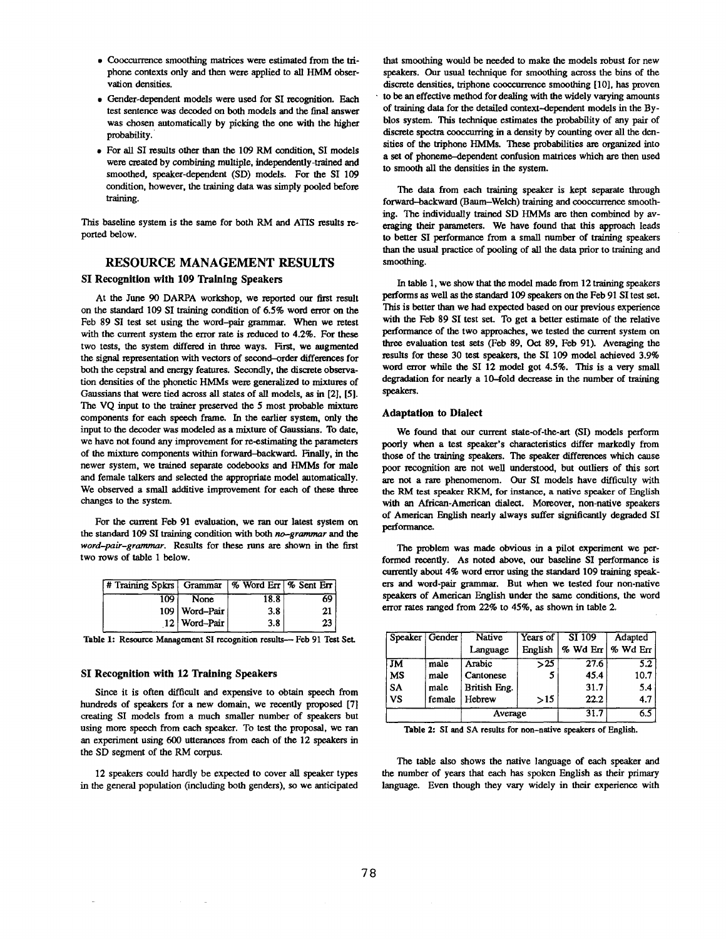- Cooocurrence smoothing matrices were estimated from the triphone contexts only and then were applied to all HMM observation densities.
- Gender-dependent models were used for SI recognition. Each test sentence was decoded on both models and the final answer was chosen automatically by picking the one with the higher probability.
- For all SI results other than the 109 RM condition, SI models were created by combining multiple, independently-trained and smoothed, speaker-dependent (SD) models. For the SI 109 condition, however, the training data was simply pooled before training.

This baseline system is the same for both RM and ATIS results reported below.

### RESOURCE MANAGEMENT RESULTS

### SI Recognition with 109 Training Speakers

At the June 90 DARPA workshop, we reported our first result on the standard 109 SI training condition of 6.5% word error on the Feb 89 SI test set using the word-pair grammar. When we retest with the current system the error rate is reduced to  $4.2\%$ . For these two tests, the system differed in three ways. First, we augmented the signal representation with vectors of second--order differences for both the cepstral and energy features. Secondly, the discrete observation densities of the phonetic HMMs were generalized to mixtures of Gaussians that were tied across all states of all models, as in [2], [5]. The VQ input to the trainer preserved the 5 most probable mixture components for each speech frame. In the earlier system, only the input to the decoder was modeled as a mixture of Ganssians. To date, we have not found any improvement for re-estimating the parameters of the mixture components within forward--backward. Finally, in the newer system, we trained separate codebooks and HMMs for male and female talkers and selected the appropriate model automatically. We observed a small additive improvement for each of these three changes to the system.

For the current Feb 91 evaluation, we ran our latest system on the standard 109 SI training condition with both *no-grammar and the word--pair-grammar.* Results for these runs are shown in the first two rows of table 1 below.

| # Training Spkrs Grammar   % Word Err   % Sent Err |                 |      |    |
|----------------------------------------------------|-----------------|------|----|
| 109                                                | None            | 18.8 | 69 |
|                                                    | 109   Word-Pair | 3.8  |    |
|                                                    | 12 Word-Pair    | 3.8  |    |

Table 1: Resource Management SI recognition results--- Feb 91 Test Set.

### **SI Recognition with 12** Training Speakers

Since it is often difficult and expensive to obtain speech from hundreds of speakers for a new domain, we recently proposed [7] creating SI models from a much smaller number of speakers but using more speech from each speaker. To test the proposal, we ran an experiment using 600 utterances from each of the 12 speakers in the SD segment of the RM corpus.

12 speakers could hardly be expected to cover all speaker types in the general population (including both genders), so we anticipated that smoothing would be needed to make the models robust for new speakers. Our usual technique for smoothing across the bins of the discrete densities, triphone cooceurrence smoothing [10], has proven • to be an effective method for dealing with the widely varying amounts of training data for the detailed context-dependent models in the Byblos system. This technique estimates the probability of any pair of discrete spectra cooccurring in a density by counting over all the densities of the triphone HMMs. These probabilities are organized into a set of phoneme--dependent confusion matrices which are then used to smooth all the densities in the system.

The data from each training speaker is kept separate through forward-backward (Baum-Welch) training and cooccurrence smoothing. The individually trained SD HMMs are then combined by averaging their parameters. We have found that this approach leads to better SI performance from a small number of training speakers than the usual practice of pooling of all the data prior to training and smoothing.

In table 1, we show that the model made from 12 training speakers performs as well as the standard 109 speakers on the Feb 91 SI test set. This is better than we had expected based on our previous experience with the Feb 89 SI test set. To get a better estimate of the relative performance of the two approaches, we tested the current system on three evaluation test sets (Feb 89, Oct 89, Feb 91). Averaging the results for these 30 test speakers, the SI 109 model achieved 3.9% word error while the SI 12 model got 4.5%. This is a very small degradation for nearly a 10-fold decrease in the number of training speakers.

#### Adaptation to Dialect

We found that our current state-of-the-art (SI) models perform poorly when a test speaker's characteristics differ markedly from those of the training speakers. The speaker differences which cause poor recognition are not well understood, but outliers of this sort are not a rare phenomenom. Our SI models have difficulty with the RM test speaker RKM, for instance, a native speaker of English with an African-American dialect. Moreover, non-native speakers of American English nearly always suffer significantly degraded SI performance.

The problem was made obvious in a pilot experiment we performed recently. As noted above, our baseline SI performance is currently about 4% word error using the standard 109 training speakers and word-pair grammar. But when we tested four non-native speakers of American English under the same conditions, the word error rates ranged from 22% to 45%, as shown in table 2.

| Speaker Gender         |        | <b>Native</b> | Years of         | SI 109        | Adapted          |  |
|------------------------|--------|---------------|------------------|---------------|------------------|--|
|                        |        | Language      | English          | $%$ Wd En $ $ | % Wd Err         |  |
| $\overline{\text{JM}}$ | male   | Arabic        | $\overline{>}25$ | 27.6          | $\overline{5.2}$ |  |
| <b>MS</b>              | male   | Cantonese     | 5                | 45.4          | 10.7             |  |
| <b>SA</b>              | male   | British Eng.  |                  | 31.7          | 5.4              |  |
| <b>VS</b>              | female | Hebrew        | >15              | 22.2          | 4.7              |  |
|                        |        | Average       |                  | 31.7          | $\overline{6.5}$ |  |

Table 2: SI and SA results for non-native speakers of English.

The table also shows the native language of each speaker and the number of years that each has spoken English as their primary language. Even though they vary widely in their experience with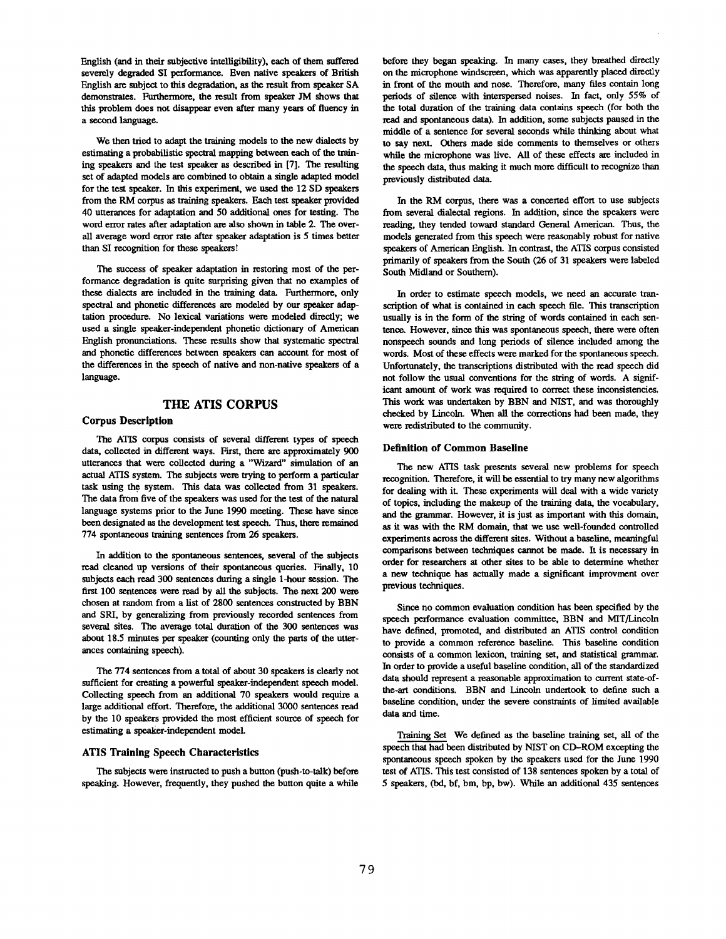English (and in their subjective intelligibility), each of them suffered severely degraded SI performance. Even native speakers of British English are subject to this degradation, as the result from speaker SA demonstrates. Furthermore, the result from speaker JM shows that this problem does not disappear even after many years of fluency in a second language.

We then tried to adapt the training models to the new dialects by estimating a probabilistic spectral mapping between each of the training speakers and the test speaker as described in [7]. The resulting set of adapted models are combined to obtain a single adapted model for the test speaker. In this experiment, we used the 12 SD speakers from the RM corpus as training speakers. Each test speaker provided 40 utterances for adaptation and 50 additional ones for testing. The word error rates after adaptation are also shown in table 2. The overall average word error rate after speaker adaptation is 5 times better than SI recognition for these speakersl

The success of speaker adaptation in restoring most of the performance degradation is quite surprising given that no examples of these dialects are included in the training data. Furthermore, only spectral and phonetic differences are modeled by our speaker adaptation procedure. No lexical variations were modeled directly; we used a single speaker-independent phonetic dictionary of American English pronunciations. These results show that systematic spectral and phonetic differences between speakers can account for most of the differences in the speech of native and non-native speakers of a language.

# **THE ATIS CORPUS**

### Corpus **Description**

The ATIS corpus consists of severai different types of speech data, collected in different ways. First, there are approximately 900 utterances that were collected during a "Wizard" simulation of **an**  actual ATIS system. The subjects were trying to perform a particular task using the system. This data was collected from 31 speakers. The data from five of the speakers was used for the test of the natural language systems prior to the June 1990 meeting. These have since been designated as the development test speech. Thus, there remained 774 spontaneous training sentences from 26 speakers.

In addition to the spontaneous sentences, several of the subjects read cleaned up versions of their spontaneous queries. Finally, 10 subjects each read 300 sentences during a single 1-hour session. The **first** 100 sentences were read by all the subjects. The next 200 were chosen at random from a list of 2800 sentences constructed by BBN and SRI, by generalizing from previously recorded sentences from several sites. The average total duration of the 300 sentences was about 18.5 minutes per speaker (counting only the parts of the utterances containing speech).

The 774 sentences from a total of about 30 speakers is clearly not sufficient for creating a powerful speaker-independent speech model. Collecting speech from an additional 70 speakers would require a large additional effort. Therefore, the additional 3000 sentences read by the 10 speakers provided the most efficient source of speech for estimating a speaker-independent model.

#### **ATIS** Training Speech Characteristics

The subjects were instructed to push a button (push-to-talk) before speaking. However, frequently, they pushed the button quite a while before they began speaking. In many cases, they breathed directly on the microphone windscreen, which was apparently placed directly in front of the mouth and nose. Therefore, many files contain long periods of silence with interspersed noises. In fact, only 55% of the total duration of the training data contains speech (for both the read and spontaneous data). In addition, some subjects paused in the middle of a sentence for several seconds while thinking about what to say next. Others made side comments to themselves or others while the microphone was live. All of these effets are included in the speech data, thus making it much more difficult to recognize than previously distributed data.

In the RM corpus, there was a concerted effort to use subjects from several dialectal regions. In addition, since the speakers were reading, they tended toward standard General American. Thus, the models generated from this speech were reasonably robust for native speakers of American English. In contrast, the ATIS corpus consisted primarily of speakers from the South (26 of 31 speakers were labeled South Midland or Southern).

In order to estimate speech models, we need an accurate transcription of what is contained in each speech file. This transcription usually is in the form of the string of words contained in each sentence. However, since this was spontaneous speech, there were often nonspeech sounds and long periods of silence included among the words. Most of these effects were marked for the spontaneous speech. Unfortunately, the transcriptions distributed with the read speech did not follow the usual conventions for the string of words. A significant amount of work was required to correct these inconsistencies. This work was undertaken by BBN and NIST, and was thoroughly checked by Lincoln. When all the corrections had been made, they were redistributed to the community.

#### **Definition of Common Baseline**

The new ATIS task presents several new problems for speech recognition. Therefore, it will be essential to try many new algorithms for dealing with it. These experiments will deal with a wide variety of topics, including the makeup of the training data, the vocabulary, **and** the grammar. However, it is just as important with this domain, as it was with the RM domain, that we use well-founded controlled experiments across the different sites. Without a baseline, meaningful comparisons between techniques cannot be made. It is necessary in order for researchers at other sites to be able to determine whether a new technique has actually made a significant improvment over previous techniques.

Since no common evaluation condition has been specified by the speech performance evaluation committee, BBN and MIT/Lincoln have defined, promoted, and distributed an ATIS control condition to provide a common reference baseline. This baseline condition consists of a common lexicon, training set, and statistical grammar. In order to provide a useful baseline condition, all of the standardized data should represent a reasonable approximation to current state-ofthe-art conditions. BBN and Lincoln undertook to define such a baseline condition, under the severe constraints of limited available data and time.

Training Set We defined as the baseline training set, all of the speech that had been distributed by NIST on CD-ROM excepting the spontaneous speech spoken by the speakers used for the June 1990 test of ATIS. This test consisted of 138 sentences spoken by a total of 5 speakers, (bd, bf, bm, bp, bw). While an additional 435 sentences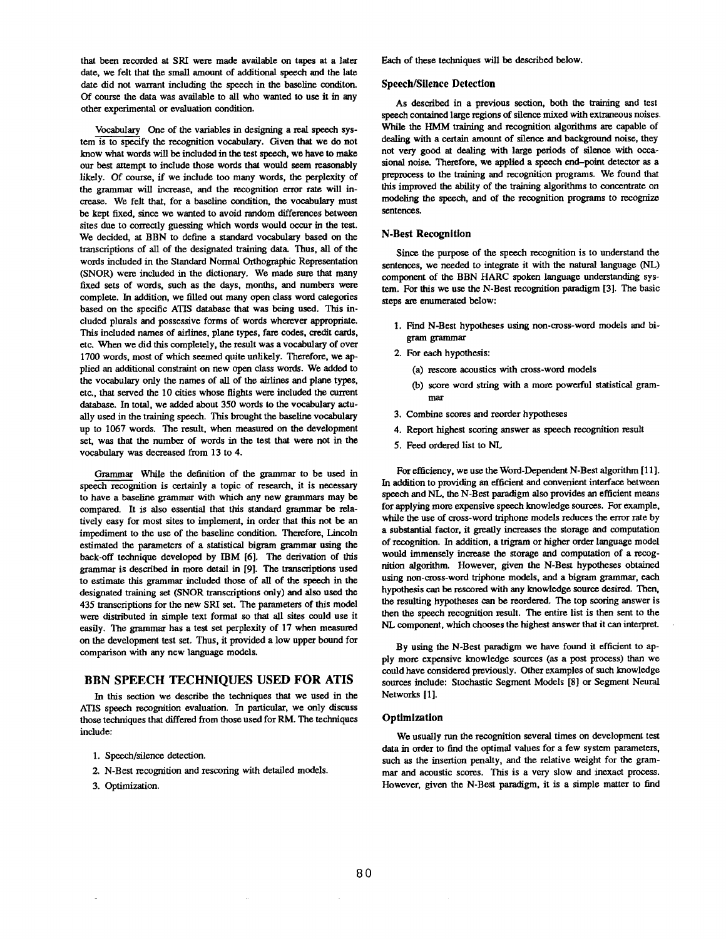that been recorded at SRI were made available on tapes at a later date, we felt that the small amount of additional speech and the late date did not warrant including the speech in the baseline conditon. Of course the data was available to all who wanted to use it in any other experimental or evaluation condition.

Vocabulary One of the variables in designing a real speech system is to specify the recognition vocabulary. Given that we do **not**  know what words will be included in the test speech, we have to make our best attempt to include those words that would seem reasonably likely. Of course, if we include too many words, the perplexity of the grammar will inerease, and the recognition error rate will increase. We felt that, for a baseline condition, the vocabulary must be kept fixed, since we wanted to avoid random differences between sites due to correctly guessing which words would occur in the test. We decided, at BBN to define a standard vocabulary based on the transcriptions of all of the designated training data. Thus, all of the words included in the Standard Normal Orthographic Representation (SNOR) were included in the dictionary. We made sure that many fixed sets of words, such as the days, months, and numbers were complete. In addition, we filled out many open class word categories based on the specific ATIS database that was being used. This ineluded plurals and possessive forms of words wherever appropriate. This included names of airlines, plane types, fare codes, credit cards, etc. When we did this completely, the result was a vocabulary of over 1700 words, most of which seemed quite unlikely. Therefore, we applied an additional constraint on new open class words. We added to the vocabulary only the names of all of the airlines and plane types, etc., that served the 10 cities whose flights were included the current database. In total, we added about 350 words to the vocabulary actually used in the training speech. This brought the baseline vocabulary up to 1067 words. The result, when measured on the development set, was that the number of words in the test that were not in the vocabulary was decreased from 13 to 4.

Grammar While the definition of the grammar to be used in speech recognition is certainly a topic of research, it is necessary to have a baseline grammar with which any new grammars may be compared. It is also essential that this standard grammar be relatively easy for most sites to implement, in order that this not be an impediment to the use of the baseline condition. Therefore, Lincoln estimated the parameters of a statistical bigram grammar using the back-off technique developed by IBM [6]. The derivation of this grammar is described in more detail in [9]. The transcriptions used to estimate this grammar included those of all of the speech in the designated training set (SNOR transcriptions only) and also used the 435 transcriptions for the new SRI set. The parameters of this model were distributed in simple text format so that all sites could use **it**  easily. The grammar has a test set perplexity of 17 when measured on the development test set. Thus, it provided a low upper bound for comparison with any new language models.

# **BBN SPEECH TECHNIQUES USED FOR ATIS**

In this section we describe the techniques that we used in the ATIS speech recognition evaluation. In particular, we only discuss those techniques that differed from those used for RM. The techniques include:

- 1. Speech/silence detection.
- 2. N-Best recognition and rescoring with detailed models.
- 3. Optimization.

Each of these techniques will be described below.

#### Speech/Silence Detection

As described in a previous section, both the training and test speech contained large regions of silence mixed with extraneous noises. While the HMM training and recognition algorithms are capable of dealing with a certain amount of silence and background noise, they not very good at dealing with large periods of silence with occasional noise. Therefore, we applied a speech end-point detector as a preprocess to the training and recognition programs. We found that this improved the ability of the training algorithms to concentrate on modeling the speech, and of the recognition programs to recognize sentences.

### **N-Best Recognition**

Since the purpose of the speech recognition is to understand the sentences, we needed to integrate it with the natural language (NL) component of the BBN HARC spoken language understanding system. For this we use the N-Best recognition paradigm [3]. The basic steps are enumerated below:

- 1. Find N-Best hypotheses using non-cross-word models and bigram grammar
- 2. For each hypothesis:
	- (a) rescore acoustics with cross-word models
	- (b) score word string with a more powerful statistical grammar
- 3. Combine scores and reorder hypotheses
- 4. Report highest scoring answer as speech recognition result
- 5. Feed ordered list to NL

For efficiency, we use the Word-Dependent N-Best algorithm [11 ]. In addition to providing an efficient and convenient interface between speech and NL, the N-Best paradigm also provides an efficient means for applying more expensive speech knowledge sources. For example, while the use of cross-word triphone models reduces the error rate by a substantial factor, **it** greatly increases the storage and computation of recognition. In addition, a trigram or higher order language model would immensely increase the storage and computation of a recognition algorithm. However, given the N-Best hypotheses obtained using non-cross-word triphone models, and a bigram grammar, each hypothesis can be reseored with any knowledge source desired. Then, the resulting hypotheses can be reordered. The top scoring answer is then the speech recognition result. The entire list is then sent to the NL component, which chooses the highest answer that it can interpret.

By using the N-Best paradigm we have found it efficient to apply more expensive knowledge sources (as a post process) than we could have considered previously. Other examples of such knowledge sources include: Stochastic Segment Models [8] or Segment Neural Networks [1].

### **Optimization**

We usually run the recognition several times on development test data in order to find the optimal values for a few system parameters, such as the insertion penalty, and the relative weight for the grammar and acoustic scores. This is a very slow and inexact process. However, given the N-Best paradigm, it is a simple matter to find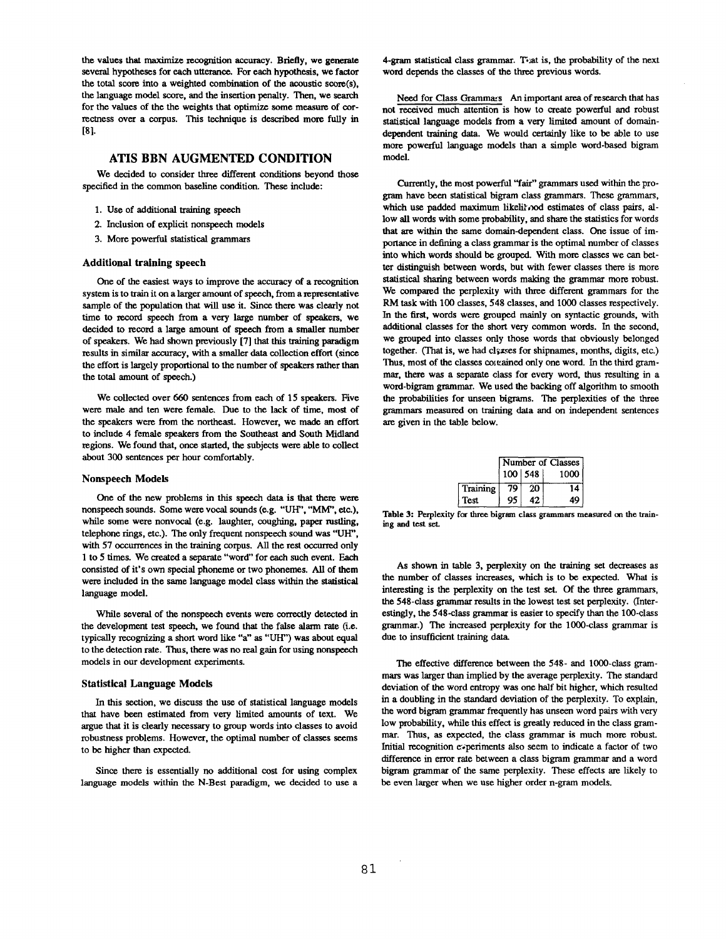the values that maximize recognition accuracy. Briefly, we generate several hypotheses for each utterance. For each hypothesis, we factor the total score into a weighted combination of the acoustic score(s), the language model score, and the insertion penalty. Then, we search for the values of the the weights that optimize some measure of correctness over a corpus. This technique is described more fully in [81.

## **ATIS BBN AUGMENTED CONDITION**

We decided to consider three different conditions beyond those specified in the common baseline condition. These include:

- 1. Use of additional training speech
- 2. Inclusion of explicit nonspeech models
- 3. More powerful statistical grammars

#### **Additional** training speech

One of the easiest ways to improve the accuracy of a recognition system is to train it on a Larger amount of speech, from a representative sample of the population that will use it. Since there was clearly not time to record speech from a very large number of speakers, we decided to record a large amount of speech from a smaller number of speakers. We had shown previously [7] that this training paradigm results in similar accuracy, with a smaller data collection effort (since the effort is largely proportional to the number of speakers rather than the total amount of speech.)

We collected over 660 sentences from each of 15 speakers. Five were male and ten were female. Due to the lack of time, most of the speakers were from the northeast. However, we made an effort to include 4 female speakers from the Southeast and South Midland regions. We found that, once started, the subjects were able to collect about 300 sentences per hour comfortably.

#### Nonspeech **Models**

One of the new problems in this speech data is that there were nonspeech sounds. Some were vocal sounds (e.g. "UH", "MM", etc.), while some were nonvocal (e.g. laughter, coughing, paper rustling, telephone tings, etc.). The only frequent nonspeech sound was "UH", with 57 occurrences in the training corpus. All the rest occurred oniy 1 to 5 times. We created a separate "word" for each such event. Each consisted of it's own special phoneme or two phonemes. All of them were included in the same language model class within the statistical language model.

While several of the nonspeech events were correctly detected in the development test speech, we found that the false alarm rate (i.e. typically recognizing a short word like "a" as "UH") was about equal to the detection rate. Thus, there was no real gain for using nonspeech models in our development experiments.

#### Statistical Language Models

In this section, we discuss the use of statistical language models that have been estimated from very limited amounts of text. We argue that it is clearly necessary to group words into classes to avoid robustness problems. However, the optimal number of classes seems to be higher than expected.

Since there is essentially no additional cost for using complex language models within the N-Best paradigm, we decided to use a 4-gram statistical class grammar. To at is, the probability of the next word depends the classes of the three previous words.

Need for Class Grammars An important area of research that has not received much attention is how to create powerful and robust statistical language models from a very limited amount of domaindependent training data. We would eertainly like to be able to use more powerful language models than a simple word-based bigram model.

Currently, the most powerful "fair" grammars used within the program have been statistical bigram class grammars. These grammars, which use padded maximum likelil ood estimates of class pairs, allow all words with some probability, and share the statistics for words that are within the same domain-dependent class. One issue of importance in defining a class grammar is the optimal number of classes into which words should be grouped. With more classes we can better distinguish between words, but with fewer classes there is more statistical sharing between words making the grammar more robust. We compared the perplexity with three different grammars for the RM task with 100 classes, 548 classes, and 1000 classes respectively. In the first, words were grouped mainly on syntactic grounds, with additional classes for the short very common words. In the second, we grouped into classes only those words that obviously belonged together. (That is, we had classes for shipnames, months, digits, etc.) Thus, most of the classes eoteained only one word. In the third grammar, there was a separate class for every word, thus resulting in a word-bigram grammar. We used the backing off algorithm to smooth the probabilities for unseen bigrams. The perplexities of the three grammars measured on training data and on independent sentences are given in the table below.

|             | Number of Classes |             |      |  |
|-------------|-------------------|-------------|------|--|
|             |                   | $100$   548 | 1000 |  |
| Training    | 79                | 20          | 14   |  |
| <b>Test</b> | 95                | 42.         | 49   |  |

Table 3: Perplexity for three bigram class grammars measured on the training and test set.

As shown in table 3, perplexity on the training set decreases as the number of classes increases, which is to be expected. What is interesting is the perplexity on the test set. Of the three grammars, the 548-class grammar results in the lowest test set perplexity. (Interestingly, the 548-class grammar is easier to specify than the 100-class grammar.) The increased perplexity for the 1000-class grammar is due to insufficient training data.

The effective difference between the 548- and 1000-class grammars was larger than implied by the average perplexity. The standard deviation of the word entropy was one half bit higher, which resulted in a doubling in the standard deviation of the perplexity. To explain, the word bigram grammar frequently has unseen word pairs with very low probability, while this effect is greatly reduced in the class grammar. Thus, as expected, the class grammar is much more robust. Initial recognition experiments also seem to indicate a factor of two difference in error rate between a class bigram grammar and a word bigram grammar of the same perplexity. These effects are likely to be even larger when we use higher order n-gram models.